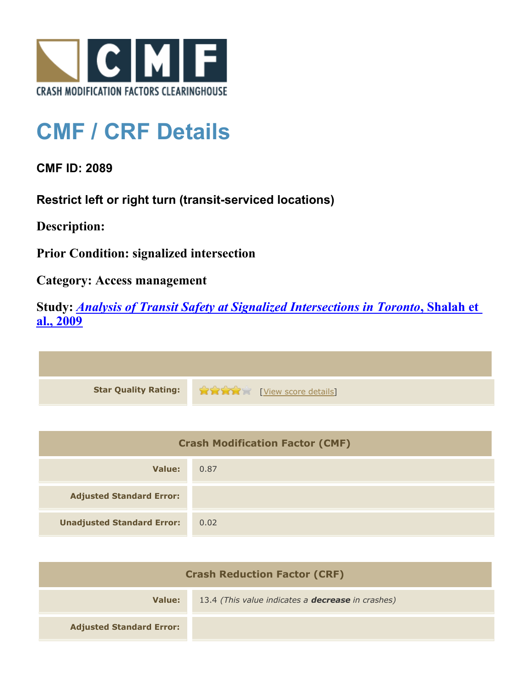

## **CMF / CRF Details**

**CMF ID: 2089**

**Restrict left or right turn (transit-serviced locations)**

**Description:** 

**Prior Condition: signalized intersection**

**Category: Access management**

**Study:** *[Analysis of Transit Safety at Signalized Intersections in Toronto](http://www.cmfclearinghouse.org/study_detail.cfm?stid=112)***[, Shalah et](http://www.cmfclearinghouse.org/study_detail.cfm?stid=112) [al., 2009](http://www.cmfclearinghouse.org/study_detail.cfm?stid=112)**

**Star Quality Rating:**  $\mathbf{r} = \mathbf{r} + \mathbf{r}$ 

| <b>Crash Modification Factor (CMF)</b> |      |
|----------------------------------------|------|
| Value:                                 | 0.87 |
| <b>Adjusted Standard Error:</b>        |      |
| <b>Unadjusted Standard Error:</b>      | 0.02 |

| <b>Crash Reduction Factor (CRF)</b> |                                                          |
|-------------------------------------|----------------------------------------------------------|
| Value:                              | 13.4 (This value indicates a <b>decrease</b> in crashes) |
| <b>Adjusted Standard Error:</b>     |                                                          |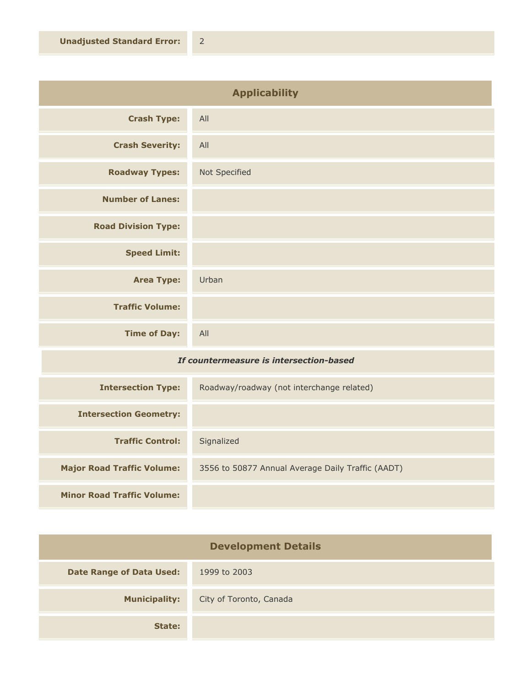| <b>Applicability</b>       |               |
|----------------------------|---------------|
| <b>Crash Type:</b>         | All           |
| <b>Crash Severity:</b>     | All           |
| <b>Roadway Types:</b>      | Not Specified |
| <b>Number of Lanes:</b>    |               |
| <b>Road Division Type:</b> |               |
| <b>Speed Limit:</b>        |               |
| <b>Area Type:</b>          | Urban         |
| <b>Traffic Volume:</b>     |               |
| <b>Time of Day:</b>        | All           |
| $ -$                       |               |

## *If countermeasure is intersection-based*

| <b>Intersection Type:</b>         | Roadway/roadway (not interchange related)         |
|-----------------------------------|---------------------------------------------------|
| <b>Intersection Geometry:</b>     |                                                   |
| <b>Traffic Control:</b>           | Signalized                                        |
| <b>Major Road Traffic Volume:</b> | 3556 to 50877 Annual Average Daily Traffic (AADT) |
| <b>Minor Road Traffic Volume:</b> |                                                   |

| <b>Development Details</b>      |                         |
|---------------------------------|-------------------------|
| <b>Date Range of Data Used:</b> | 1999 to 2003            |
| <b>Municipality:</b>            | City of Toronto, Canada |
| State:                          |                         |